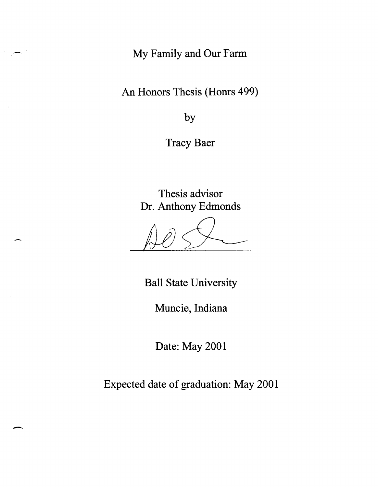**My Family and Our Farm** 

**An Honors Thesis (Honrs 499)** 

**by** 

**Tracy Baer** 

**Thesis advisor Dr. Anthony Edmonds** 

 $\frac{1}{2}$ */JiJ* 

**Ball State University** 

**Muncie, Indiana** 

**Date: May 2001** 

**Expected date of graduation: May 2001** 

-

 $\frac{1}{2}$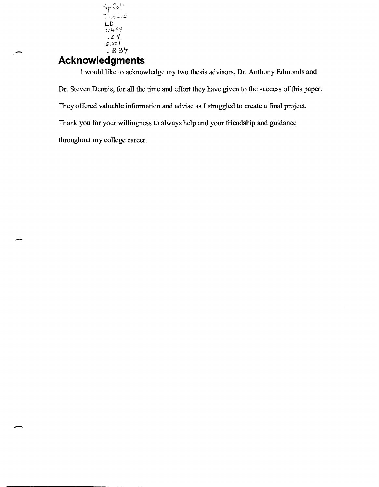$\mathsf{Sp} \mathsf{Co}\mathbb{N}$  $The  $is$$ l-D ;;.489  $.24$  $200$  / . B 37

### **Acknowledgments**

-

-

I would like to acknowledge my two thesis advisors, Dr. Anthony Edmonds and Dr. Steven Dennis, for all the time and effort they have given to the success of this paper. They offered valuable information and advise as I struggled to create a final project. Thank you for your willingness to always help and your friendship and guidance throughout my college career.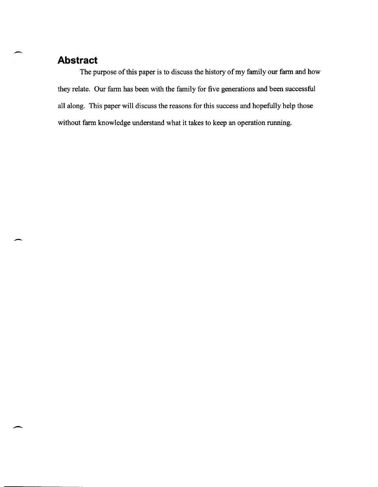# ,- **Abstract**

--

The purpose of this paper is to discuss the history of my family our farm and how they relate. Our farm has been with the family for five generations and been successful all along. This paper will discuss the reasons for this success and hopefully help those without farm knowledge understand what it takes to keep an operation running.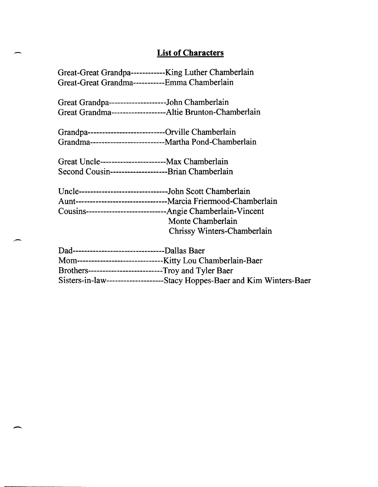### **List of Characters**

Great-Great Grandpa------------King Luther Chamberlain Great-Great Grandma-----------Emma Chamberlain

Great Grandpa--------------------John Chamberlain Great Grandma-------------------Altie Brunton-Chamberlain

Grandpa---------------------------Orville Chamberlain Grandma--------------------------Martha Pond-Chamberlain

Great Uncle-----------------------Max Chamberlain Second Cousin--------------------Brian Chamberlain

-

Uncle-------------------------------John Scott Chamberlain Aunt --------------------------------Marcia Friermood -Chamberlain Cousins----------------------------Angie Chamberlain-Vincent Monte Chamberlain Chrissy Winters-Chamberlain

| Dad----------------------------------Dallas Baer                |                                                                            |
|-----------------------------------------------------------------|----------------------------------------------------------------------------|
| Mom----------------------------------Kitty Lou Chamberlain-Baer |                                                                            |
| Brothers-----------------------------Troy and Tyler Baer        |                                                                            |
|                                                                 | Sisters-in-law----------------------Stacy Hoppes-Baer and Kim Winters-Baer |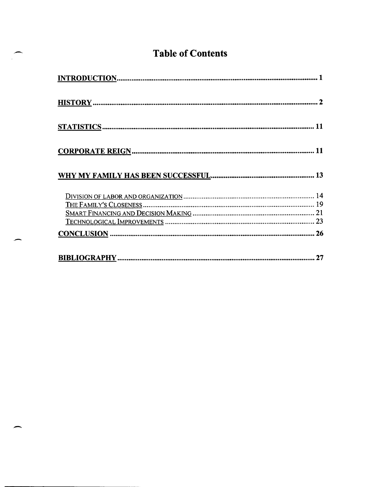# **Table of Contents**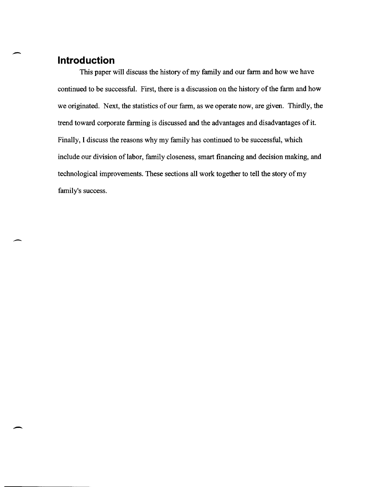## **Introduction**

.-

,-

 $\overline{\phantom{a}}$ 

This paper will discuss the history of my family and our farm and how we have continued to be successful. First, there is a discussion on the history of the farm and how we originated. Next, the statistics of our farm, as we operate now, are given. Thirdly, the trend toward corporate farming is discussed and the advantages and disadvantages of it. Finally, I discuss the reasons why my family has continued to be successful, which include our division of labor, family closeness, smart financing and decision making, and technological improvements. These sections all work together to tell the story of my family's success.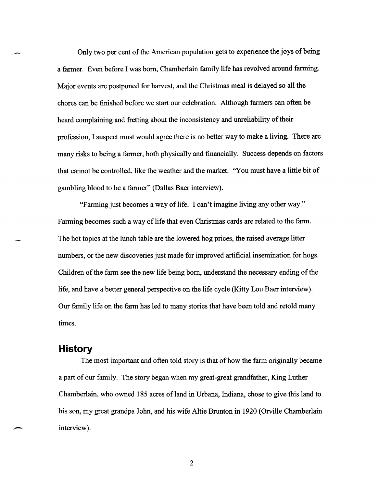Only two per cent of the American population gets to experience the joys of being a farmer. Even before I was born, Chamberlain family life has revolved around farming. Major events are postponed for harvest, and the Christmas meal is delayed so all the chores can be finished before we start our celebration. Although farmers can often be heard complaining and fretting about the inconsistency and unreliability of their profession, I suspect most would agree there is no better way to make a living. There are many risks to being a farmer, both physically and financially. Success depends on factors that cannot be controlled, like the weather and the market. "You must have a little bit of gambling blood to be a farmer" (Dallas Baer interview).

"Farming just becomes a way of life. I can't imagine living any other way." Farming becomes such a way of life that even Christmas cards are related to the farm. The hot topics at the lunch table are the lowered hog prices, the raised average litter numbers, or the new discoveries just made for improved artificial insemination for hogs. Children of the farm see the new life being born, understand the necessary ending of the life, and have a better general perspective on the life cycle (Kitty Lou Baer interview). Our family life on the farm has led to many stories that have been told and retold many times.

### **History**

The most important and often told story is that of how the farm originally became a part of our family. The story began when my great-great grandfather, King Luther Chamberlain, who owned 185 acres of land in Urbana, Indiana, chose to give this land to his son, my great grandpa John, and his wife Altie Brunton in 1920 (Orville Chamberlain interview).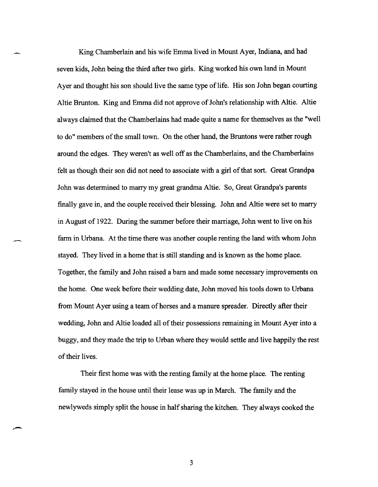King Chamberlain and his wife Emma lived in Mount Ayer, Indiana, and had seven kids, John being the third after two girls. King worked his own land in Mount Ayer and thought his son should live the same type of life. His son John began courting Altie Brunton. King and Emma did not approve of John's relationship with Altie. Altie always claimed that the Chamberlains had made quite a name for themselves as the "well to do" members of the small town. On the other hand, the Bruntons were rather rough around the edges. They weren't as well off as the Chamberlains, and the Chamberlains felt as though their son did not need to associate with a girl of that sort. Great Grandpa John was determined to marry my great grandma Altie. So, Great Grandpa's parents finally gave in, and the couple received their blessing. John and Altie were set to marry in August of 1922. During the summer before their marriage, John went to live on his farm in Urbana. At the time there was another couple renting the land with whom John stayed. They lived in a home that is still standing and is known as the home place. Together, the family and John raised a barn and made some necessary improvements on the home. One week before their wedding date, John moved his tools down to Urbana from Mount Ayer using a team of horses and a manure spreader. Directly after their wedding, John and Altie loaded all of their possessions remaining in Mount Ayer into a buggy, and they made the trip to Urban where they would settle and live happily the rest of their lives.

Their first home was with the renting family at the home place. The renting family stayed in the house until their lease was up in March. The family and the newlyweds simply split the house in half sharing the kitchen. They always cooked the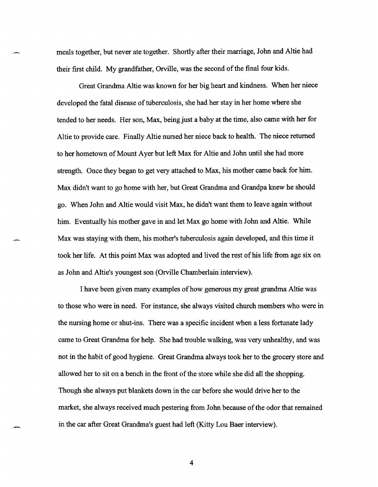meals together, but never ate together. Shortly after their marriage, John and Altie had their first child. My grandfather, Orville, was the second of the final four kids.

Great Grandma Altie was known for her big heart and kindness. When her niece developed the fatal disease of tuberculosis, she had her stay in her home where she tended to her needs. Her son, Max, being just a baby at the time, also came with her for Altie to provide care. Finally Altie nursed her niece back to health. The niece returned to her hometown of Mount Ayer but left Max for Altie and John until she had more strength. Once they began to get very attached to Max, his mother came back for him. Max didn't want to go home with her, but Great Grandma and Grandpa knew he should go. When John and Altie would visit Max, he didn't want them to leave again without him. Eventually his mother gave in and let Max go home with John and Altie. While Max was staying with them, his mother's tuberculosis again developed, and this time it took her life. At this point Max was adopted and lived the rest of his life from age six on as John and Altie's youngest son (Orville Chamberlain interview).

I have been given many examples of how generous my great grandma Altie was to those who were in need. For instance, she always visited church members who were in the nursing home or shut-ins. There was a specific incident when a less fortunate lady came to Great Grandma for help. She had trouble walking, was very unhealthy, and was not in the habit of good hygiene. Great Grandma always took her to the grocery store and allowed her to sit on a bench in the front of the store while she did all the shopping. Though she always put blankets down in the car before she would drive her to the market, she always received much pestering from John because of the odor that remained in the car after Great Grandma's guest had left (Kitty Lou Baer interview).

4

,'-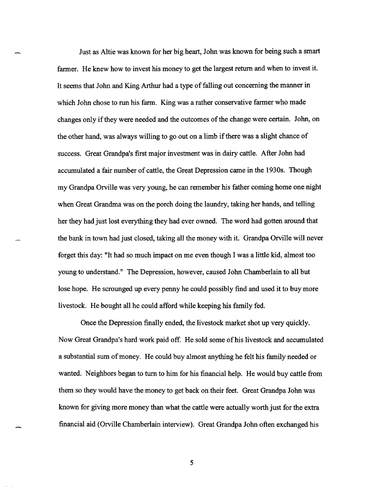Just as Altie was known for her big heart, John was known for being such a smart farmer. He knew how to invest his money to get the largest return and when to invest it. It seems that John and King Arthur had a type of falling out concerning the manner in which John chose to run his farm. King was a rather conservative farmer who made changes only ifthey were needed and the outcomes of the change were certain. John, on the other hand, was always willing to go out on a limb if there was a slight chance of success. Great Grandpa's first major investment was in dairy cattle. After John had accumulated a fair number of cattle, the Great Depression came in the 1930s. Though my Grandpa Orville was very young, he can remember his father coming home one night when Great Grandma was on the porch doing the laundry, taking her hands, and telling her they had just lost everything they had ever owned. The word had gotten around that the bank in town had just closed, taking all the money with it. Grandpa Orville will never forget this day: "It had so much impact on me even though I was a little kid, almost too young to understand." The Depression, however, caused John Chamberlain to all but lose hope. He scrounged up every penny he could possibly find and used it to buy more livestock. He bought all he could afford while keeping his family fed.

Once the Depression finally ended, the livestock market shot up very quickly. Now Great Grandpa's hard work paid off. He sold some of his livestock and accumulated a substantial sum of money. He could buy almost anything he felt his family needed or wanted. Neighbors began to turn to him for his financial help. He would buy cattle from them so they would have the money to get back on their feet. Great Grandpa John was known for giving more money than what the cattle were actually worth just for the extra financial aid (Orville Chamberlain interview). Great Grandpa John often exchanged his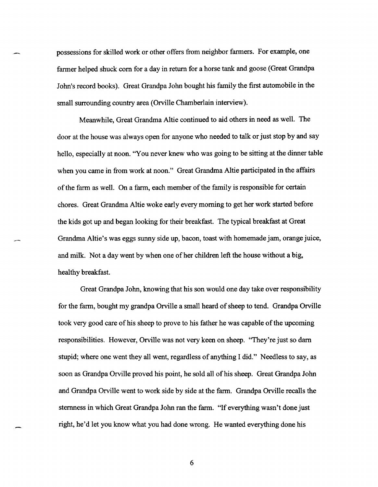possessions for skilled work or other offers from neighbor farmers. For example, one farmer helped shuck com for a day in return for a horse tank and goose (Great Grandpa John's record books). Great Grandpa John bought his family the first automobile in the small surrounding country area (Orville Chamberlain interview).

Meanwhile, Great Grandma Altie continued to aid others in need as well. The door at the house was always open for anyone who needed to talk or just stop by and say hello, especially at noon. "You never knew who was going to be sitting at the dinner table when you came in from work at noon." Great Grandma Altie participated in the affairs of the farm as well. On a farm, each member of the family is responsible for certain chores. Great Grandma Altie woke early every morning to get her work started before the kids got up and began looking for their breakfast. The typical breakfast at Great Grandma Altie's was eggs sunny side up, bacon, toast with homemade jam, orange juice, and milk. Not a day went by when one of her children left the house without a big, healthy breakfast.

Great Grandpa John, knowing that his son would one day take over responsibility for the farm, bought my grandpa Orville a small heard of sheep to tend. Grandpa Orville took very good care of his sheep to prove to his father he was capable of the upcoming responsibilities. However, Orville was not very keen on sheep. "They're just so dam stupid; where one went they all went, regardless of anything I did." Needless to say, as soon as Grandpa Orville proved his point, he sold all of his sheep. Great Grandpa John and Grandpa Orville went to work side by side at the farm. Grandpa Orville recalls the sternness in which Great Grandpa John ran the farm. "If everything wasn't done just right, he'd let you know what you had done wrong. He wanted everything done his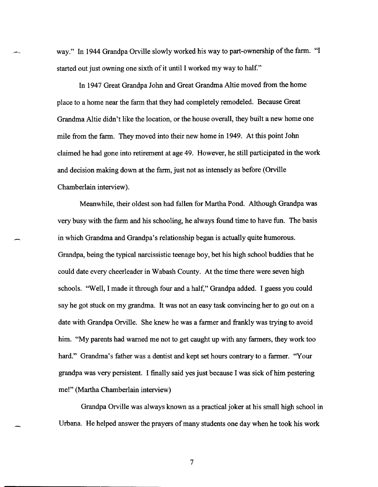way." In 1944 Grandpa Orville slowly worked his way to part-ownership of the farm. "I started out just owning one sixth of it until I worked my way to half."

In 1947 Great Grandpa John and Great Grandma Altie moved from the home place to a home near the farm that they had completely remodeled. Because Great Grandma Altie didn't like the location, or the house overall, they built a new home one mile from the fann. They moved into their new home in 1949. At this point John claimed he had gone into retirement at age 49. However, he still participated in the work and decision making down at the farm, just not as intensely as before (Orville Chamberlain interview).

Meanwhile, their oldest son had fallen for Martha Pond. Although Grandpa was very busy with the fann and his schooling, he always found time to have fun. The basis in which Grandma and Grandpa's relationship began is actually quite humorous. Grandpa, being the typical narcissistic teenage boy, bet his high school buddies that he could date every cheerleader in Wabash County. At the time there were seven high schools. "Well, I made it through four and a half," Grandpa added. I guess you could say he got stuck on my grandma. It was not an easy task convincing her to go out on a date with Grandpa Orville. She knew he was a farmer and frankly was trying to avoid him. "My parents had warned me not to get caught up with any fanners, they work too hard." Grandma's father was a dentist and kept set hours contrary to a farmer. "Your grandpa was very persistent. I finally said yes just because I was sick of him pestering me!" (Martha Chamberlain interview)

Grandpa Orville was always known as a practical joker at his small high school in Urbana. He helped answer the prayers of many students one day when he took his work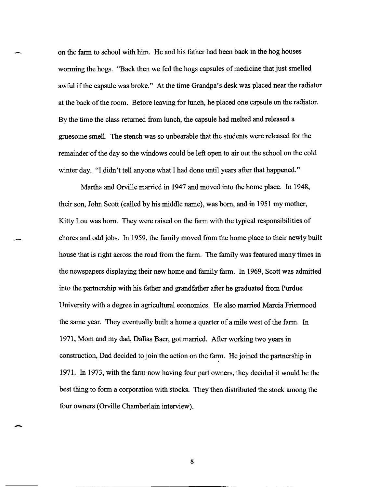on the fann to school with him. He and his father had been back in the hog houses worming the hogs. "Back then we fed the hogs capsules of medicine that just smelled awful if the capsule was broke." At the time Grandpa's desk was placed near the radiator at the back of the room. Before leaving for lunch, he placed one capsule on the radiator. By the time the class returned from lunch, the capsule had melted and released a gruesome smell. The stench was so unbearable that the students were released for the remainder of the day so the windows could be left open to air out the school on the cold winter day. "I didn't tell anyone what I had done until years after that happened."

Martha and Orville married in 1947 and moved into the home place. In 1948, their son, John Scott (called by his middle name), was born, and in 1951 my mother, Kitty Lou was born. They were raised on the fann with the typical responsibilities of chores and odd jobs. In 1959, the family moved from the home place to their newly built house that is right across the road from the farm. The family was featured many times in the newspapers displaying their new home and family fann. In 1969, Scott was admitted into the partnership with his father and grandfather after he graduated from Purdue University with a degree in agricultural economics. He also married Marcia Friermood the same year. They eventually built a home a quarter of a mile west of the fann. In 1971, Mom and my dad, Dallas Baer, got married. After working two years in construction, Dad decided to join the action on the fann. He joined the partnership in 1971. In 1973, with the fann now having four part owners, they decided it would be the best thing to form a corporation with stocks. They then distributed the stock among the four owners (Orville Chamberlain interview).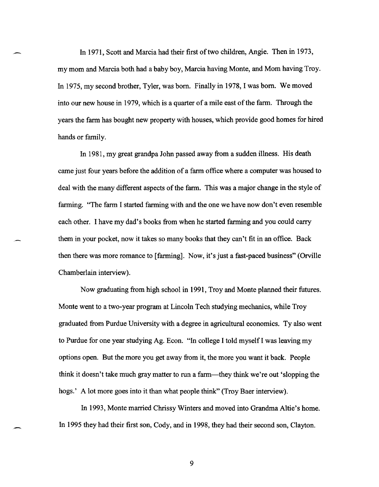In 1971, Scott and Marcia had their first of two children, Angie. Then in 1973, my mom and Marcia both had a baby boy, Marcia having Monte, and Mom having Troy. In 1975, my second brother, Tyler, was born. Finally in 1978, I was born. We moved into our new house in 1979, which is a quarter of a mile east of the farm. Through the years the farm has bought new property with houses, which provide good homes for hired hands or family.

In 1981, my great grandpa John passed away from a sudden illness. His death came just four years before the addition of a farm office where a computer was housed to deal with the many different aspects of the farm. This was a major change in the style of farming. "The farm I started farming with and the one we have now don't even resemble each other. I have my dad's books from when he started farming and you could carry them in your pocket, now it takes so many books that they can't fit in an office. Back then there was more romance to [farming]. Now, it's just a fast-paced business" (Orville Chamberlain interview).

Now graduating from high school in 1991, Troy and Monte planned their futures. Monte went to a two-year program at Lincoln Tech studying mechanics, while Troy graduated from Purdue University with a degree in agricultural economics. Ty also went to Purdue for one year studying Ag. Econ. "In college I told myself I was leaving my options open. But the more you get away from it, the more you want it back. People think it doesn't take much gray matter to run a farm-they think we're out 'slopping the hogs.' A lot more goes into it than what people think" (Troy Baer interview).

In 1993, Monte married Chrissy Winters and moved into Grandma Altie's home. In 1995 they had their first son, Cody, and in 1998, they had their second son, Clayton.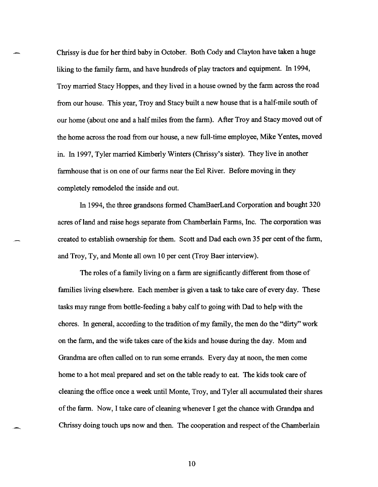Chrissy is due for her third baby in October. Both Cody and Clayton have taken a huge liking to the family farm, and have hundreds of play tractors and equipment. In 1994, Troy married Stacy Hoppes, and they lived in a house owned by the farm across the road from our house. This year, Troy and Stacy built a new house that is a half-mile south of our home (about one and a half miles from the farm). After Troy and Stacy moved out of the home across the road from our house, a new full-time employee, Mike Yentes, moved in. In 1997, Tyler married Kimberly Winters (Chrissy's sister). They live in another farmhouse that is on one of our farms near the Eel River. Before moving in they completely remodeled the inside and out.

In 1994, the three grandsons formed ChamBaerLand Corporation and bought 320 acres of land and raise hogs separate from Chamberlain Farms, Inc. The corporation was created to establish ownership for them. Scott and Dad each own 35 per cent of the farm, and Troy, Ty, and Monte all own 10 per cent (Troy Baer interview).

The roles of a family living on a farm are significantly different from those of families living elsewhere. Each member is given a task to take care of every day. These tasks may range from bottle-feeding a baby calf to going with Dad to help with the chores. In general, according to the tradition of my family, the men do the "dirty" work on the farm, and the wife takes care of the kids and house during the day. Mom and Grandma are often called on to run some errands. Every day at noon, the men come home to a hot meal prepared and set on the table ready to eat. The kids took care of cleaning the office once a week until Monte, Troy, and Tyler all accumulated their shares of the farm. Now, I take care of cleaning whenever I get the chance with Grandpa and Chrissy doing touch ups now and then. The cooperation and respect of the Chamberlain

10

-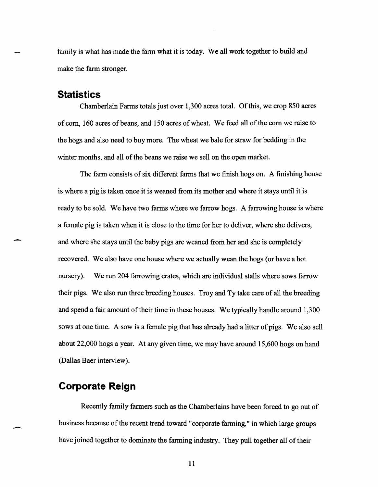family is what has made the farm what it is today. We all work together to build and make the farm stronger.

### **Statistics**

-

-

Chamberlain Fanns totals just over 1,300 acres total. Of this, we crop 850 acres of com, 160 acres of beans, and 150 acres of wheat. We feed all of the com we raise to the hogs and also need to buy more. The wheat we bale for straw for bedding in the winter months, and all of the beans we raise we sell on the open market.

The fann consists of six different fanns that we finish hogs on. A finishing house is where a pig is taken once it is weaned from its mother and where it stays until it is ready to be sold. We have two fanns where we farrow hogs. A farrowing house is where a female pig is taken when it is close to the time for her to deliver, where she delivers, and where she stays until the baby pigs are weaned from her and she is completely recovered. We also have one house where we actually wean the hogs (or have a hot nursery). We run 204 farrowing crates, which are individual stalls where sows farrow their pigs. We also run three breeding houses. Troy and Ty take care of all the breeding and spend a fair amount of their time in these houses. We typically handle around 1,300 sows at one time. A sow is a female pig that has already had a litter of pigs. We also sell about 22,000 hogs a year. At any given time, we may have around 15,600 hogs on hand (Dallas Baer interview).

### **Corporate Reign**

Recently family fanners such as the Chamberlains have been forced to go out of business because of the recent trend toward "corporate fanning," in which large groups have joined together to dominate the farming industry. They pull together all of their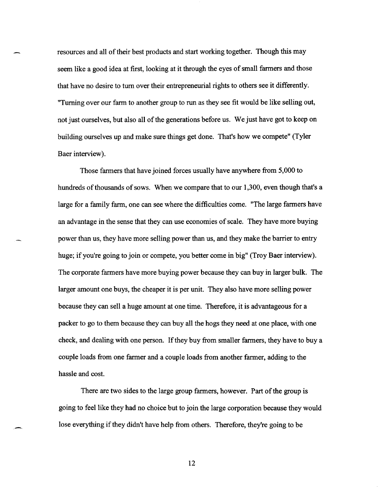resources and all of their best products and start working together. Though this may seem like a good idea at first, looking at it through the eyes of small farmers and those that have no desire to tum over their entrepreneurial rights to others see it differently. "Turning over our farm to another group to run as they see fit would be like selling out, not just ourselves, but also all of the generations before us. We just have got to keep on building ourselves up and make sure things get done. That's how we compete" (Tyler Baer interview).

Those farmers that have joined forces usually have anywhere from 5,000 to hundreds of thousands of sows. When we compare that to our 1,300, even though that's a large for a family farm, one can see where the difficulties come. "The large farmers have an advantage in the sense that they can use economies of scale. They have more buying power than us, they have more selling power than us, and they make the barrier to entry huge; if you're going to join or compete, you better come in big" (Troy Baer interview). The corporate farmers have more buying power because they can buy in larger bulk. The larger amount one buys, the cheaper it is per unit. They also have more selling power because they can sell a huge amount at one time. Therefore, it is advantageous for a packer to go to them because they can buy all the hogs they need at one place, with one check, and dealing with one person. If they buy from smaller farmers, they have to buy a couple loads from one farmer and a couple loads from another farmer, adding to the hassle and cost.

There are two sides to the large group farmers, however. Part of the group is going to feel like they had no choice but to join the large corporation because they would lose everything if they didn't have help from others. Therefore, they're going to be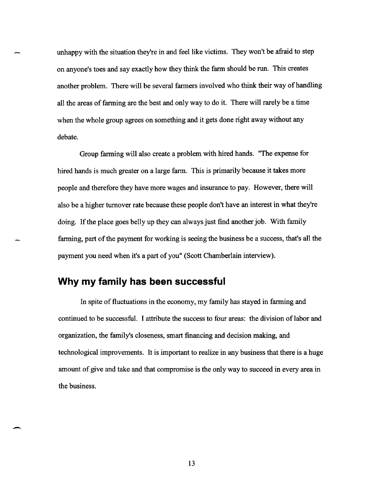unhappy with the situation they're in and feel like victims. They won't be afraid to step on anyone's toes and say exactly how they think the farm should be run. This creates another problem. There will be several farmers involved who think their way of handling all the areas of farming are the best and only way to do it. There will rarely be a time when the whole group agrees on something and it gets done right away without any debate.

Group farming will also create a problem with hired hands. "The expense for hired hands is much greater on a large farm. This is primarily because it takes more people and therefore they have more wages and insurance to pay. However, there will also be a higher turnover rate because these people don't have an interest in what they're doing. If the place goes belly up they can always just find another job. With family farming, part of the payment for working is seeing the business be a success, that's all the payment you need when it's a part of you" (Scott Chamberlain interview).

### **Why my family has been successful**

In spite of fluctuations in the economy, my family has stayed in farming and continued to be successful. I attribute the success to four areas: the division oflabor and organization, the family's closeness, smart financing and decision making, and technological improvements. It is important to realize in any business that there is a huge amount of give and take and that compromise is the only way to succeed in every area in the business.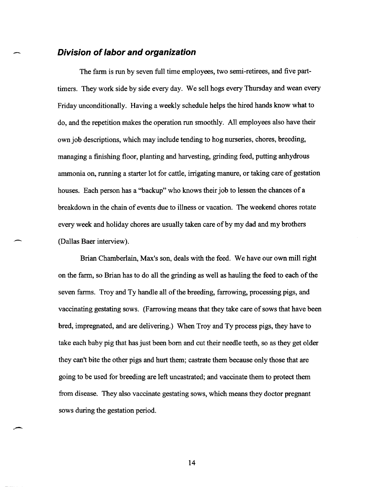### **Division of labor and organization**

-

-

The fann is run by seven full time employees, two semi-retirees, and five parttimers. They work side by side every day. We sell hogs every Thursday and wean every Friday unconditionally. Having a weekly schedule helps the hired hands know what to do, and the repetition makes the operation run smoothly. All employees also have their own job descriptions, which may include tending to hog nurseries, chores, breeding, managing a finishing floor, planting and harvesting, grinding feed, putting anhydrous ammonia on, running a starter lot for cattle, irrigating manure, or taking care of gestation houses. Each person has a "backup" who knows their job to lessen the chances of a breakdown in the chain of events due to illness or vacation. The weekend chores rotate every week and holiday chores are usually taken care of by my dad and my brothers (Dallas Baer interview).

Brian Chamberlain, Max's son, deals with the feed. We have our own mill right on the fann, so Brian has to do all the grinding as well as hauling the feed to each of the seven fanns. Troy and Ty handle all of the breeding, farrowing, processing pigs, and vaccinating gestating sows. (Farrowing means that they take care of sows that have been bred, impregnated, and are delivering.) When Troy and Ty process pigs, they have to take each baby pig that has just been born and cut their needle teeth, so as they get older they can't bite the other pigs and hurt them; castrate them because only those that are going to be used for breeding are left uncastrated; and vaccinate them to protect them from disease. They also vaccinate gestating sows, which means they doctor pregnant sows during the gestation period.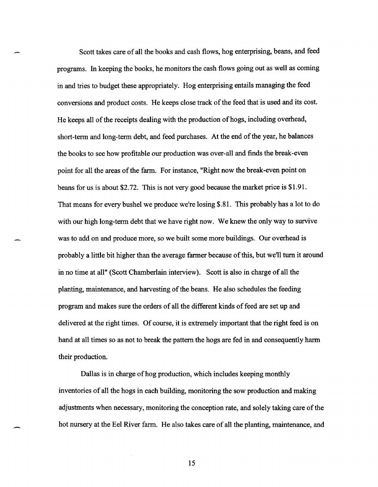Scott takes care of all the books and cash flows, hog enterprising, beans, and feed programs. In keeping the books, he monitors the cash flows going out as well as coming in and tries to budget these appropriately. Hog enterprising entails managing the feed conversions and product costs. He keeps close track of the feed that is used and its cost. He keeps all of the receipts dealing with the production of hogs, including overhead, short-term and long-term debt, and feed purchases. At the end of the year, he balances the books to see how profitable our production was over-all and finds the break-even point for all the areas of the farm. For instance, "Right now the break-even point on beans for us is about \$2.72. This is not very good because the market price is \$1.91. That means for every bushel we produce we're losing \$.81. This probably has a lot to do with our high long-term debt that we have right now. We knew the only way to survive was to add on and produce more, so we built some more buildings. Our overhead is probably a little bit higher than the average farmer because of this, but we'll turn it around in no time at all" (Scott Chamberlain interview). Scott is also in charge of all the planting, maintenance, and harvesting of the beans. He also schedules the feeding program and makes sure the orders of all the different kinds of feed are set up and delivered at the right times. Of course, it is extremely important that the right feed is on hand at all times so as not to break the pattern the hogs are fed in and consequently harm their production.

Dallas is in charge of hog production, which includes keeping monthly inventories of all the hogs in each building, monitoring the sow production and making adjustments when necessary, monitoring the conception rate, and solely taking care of the hot nursery at the Eel River farm. He also takes care of all the planting, maintenance, and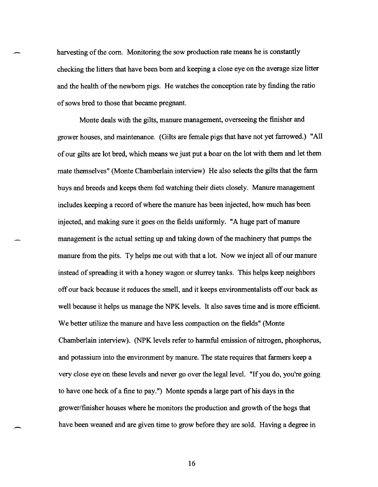harvesting of the com. Monitoring the sow production rate means he is constantly checking the litters that have been born and keeping a close eye on the average size litter and the health of the newborn pigs. He watches the conception rate by finding the ratio of sows bred to those that became pregnant.

Monte deals with the gilts, manure management, overseeing the finisher and grower houses, and maintenance. (Gilts are female pigs that have not yet farrowed.) "All of our gilts are lot bred, which means we just put a boar on the lot with them and let them mate themselves" (Monte Chamberlain interview) He also selects the gilts that the farm buys and breeds and keeps them fed watching their diets closely. Manure management includes keeping a record of where the manure has been injected, how much has been injected, and making sure it goes on the fields uniformly. "A huge part of manure management is the actual setting up and taking down of the machinery that pumps the manure from the pits. Ty helps me out with that a lot. Now we inject all of our manure instead of spreading it with a honey wagon or slurrey tanks. This helps keep neighbors off our back because it reduces the smell, and it keeps environmentalists off our back as well because it helps us manage the NPK levels. It also saves time and is more efficient. We better utilize the manure and have less compaction on the fields" (Monte Chamberlain interview). (NPK levels refer to harmful emission of nitrogen, phosphorus, and potassium into the environment by manure. The state requires that farmers keep a very close eye on these levels and never go over the legal level. "If you do, you're going to have one heck of a fine to pay. ") Monte spends a large part of his days in the grower/finisher houses where he monitors the production and growth of the hogs that have been weaned and are given time to grow before they are sold. Having a degree in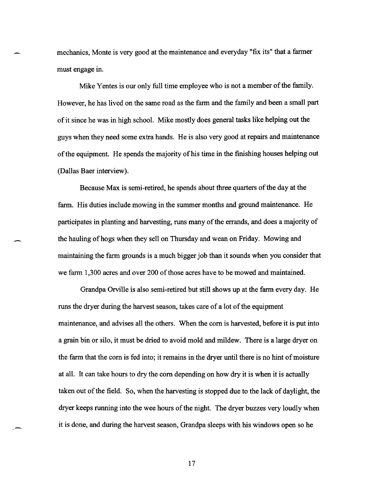mechanics, Monte is very good at the maintenance and everyday "fix its" that a farmer must engage in.

Mike Yentes is our only full time employee who is not a member of the family. However, he has lived on the same road as the farm and the family and been a small part of it since he was in high school. Mike mostly does general tasks like helping out the guys when they need some extra hands. He is also very good at repairs and maintenance ofthe equipment. He spends the majority of his time in the finishing houses helping out (Dallas Baer interview).

Because Max is semi-retired, he spends about three quarters of the day at the farm. His duties include mowing in the summer months and ground maintenance. He participates in planting and harvesting, runs many of the errands, and does a majority of the hauling of hogs when they sell on Thursday and wean on Friday. Mowing and maintaining the farm grounds is a much bigger job than it sounds when you consider that we farm 1,300 acres and over 200 of those acres have to be mowed and maintained.

Grandpa Orville is also semi-retired but still shows up at the farm every day. He runs the dryer during the harvest season, takes care of a lot of the equipment maintenance, and advises all the others. When the corn is harvested, before it is put into a grain bin or silo, it must be dried to avoid mold and mildew. There is a large dryer on the farm that the corn is fed into; it remains in the dryer until there is no hint of moisture at all. It can take hours to dry the corn depending on how dry it is when it is actually taken out of the field. So, when the harvesting is stopped due to the lack of daylight, the dryer keeps running into the wee hours of the night. The dryer buzzes very loudly when it is done, and during the harvest season, Grandpa sleeps with his windows open so he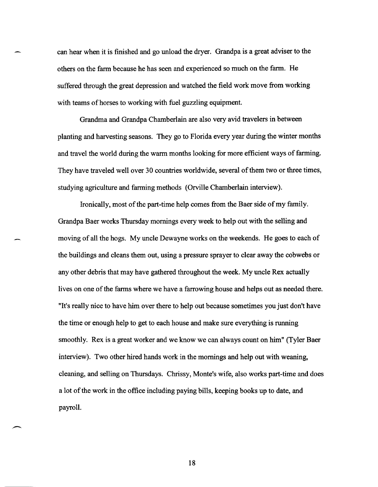can hear when it is finished and go unload the dryer. Grandpa is a great adviser to the others on the farm because he has seen and experienced so much on the farm. He suffered through the great depression and watched the field work move from working with teams of horses to working with fuel guzzling equipment.

Grandma and Grandpa Chamberlain are also very avid travelers in between planting and harvesting seasons. They go to Florida every year during the winter months and travel the world during the warm months looking for more efficient ways of farming. They have traveled well over 30 countries worldwide, several of them two or three times, studying agriculture and farming methods (Orville Chamberlain interview).

Ironically, most of the part-time help comes from the Baer side of my family. Grandpa Baer works Thursday mornings every week to help out with the selling and moving of all the hogs. My uncle Dewayne works on the weekends. He goes to each of the buildings and cleans them out, using a pressure sprayer to clear away the cobwebs or any other debris that may have gathered throughout the week. My uncle Rex actually lives on one of the farms where we have a farrowing house and helps out as needed there. "It's really nice to have him over there to help out because sometimes you just don't have the time or enough help to get to each house and make sure everything is running smoothly. Rex is a great worker and we know we can always count on him" (Tyler Baer interview). Two other hired hands work in the mornings and help out with weaning, cleaning, and selling on Thursdays. Chrissy, Monte's wife, also works part-time and does a lot of the work in the office including paying bills, keeping books up to date, and payroll.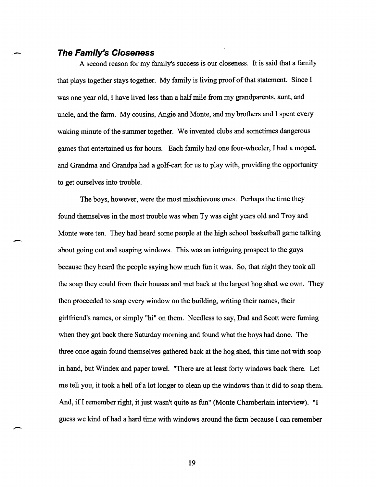#### - **The Family's Closeness**

A second reason for my family's success is our closeness. It is said that a family that plays together stays together. My family is living proof of that statement. Since I was one year old, I have lived less than a half mile from my grandparents, aunt, and uncle, and the farm. My cousins, Angie and Monte, and my brothers and I spent every waking minute of the summer together. We invented clubs and sometimes dangerous games that entertained us for hours. Each family had one four-wheeler, I had a moped, and Grandma and Grandpa had a golf-cart for us to play with, providing the opportunity to get ourselves into trouble.

The boys, however, were the most mischievous ones. Perhaps the time they found themselves in the most trouble was when Ty was eight years old and Troy and Monte were ten. They had heard some people at the high school basketball game talking about going out and soaping windows. This was an intriguing prospect to the guys because they heard the people saying how much fun it was. So, that night they took all the soap they could from their houses and met back at the largest hog shed we own. They then proceeded to soap every window on the building, writing their names, their girlfriend's names, or simply "hi" on them. Needless to say, Dad and Scott were fuming when they got back there Saturday morning and found what the boys had done. The three once again found themselves gathered back at the hog shed, this time not with soap in hand, but Windex and paper towel. "There are at least forty windows back there. Let me tell you, it took a hell of a lot longer to clean up the windows than it did to soap them. And, if I remember right, it just wasn't quite as fun" (Monte Chamberlain interview). "I guess we kind of had a hard time with windows around the farm because I can remember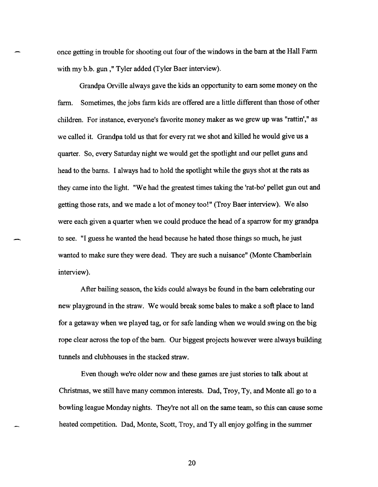once getting in trouble for shooting out four of the windows in the barn at the Hall Fann with my b.b. gun," Tyler added (Tyler Baer interview).

Grandpa Orville always gave the kids an opportunity to earn some money on the farm. Sometimes, the jobs farm kids are offered are a little different than those of other children. For instance, everyone's favorite money maker as we grew up was "rattin'," as we called it. Grandpa told us that for every rat we shot and killed he would give us a quarter. So, every Saturday night we would get the spotlight and our pellet guns and head to the barns. I always had to hold the spotlight while the guys shot at the rats as they came into the light. "We had the greatest times taking the 'rat-bo' pellet gun out and getting those rats, and we made a lot of money too!" (Troy Baer interview). We also were each given a quarter when we could produce the head of a sparrow for my grandpa to see. "I guess he wanted the head because he hated those things so much, he just wanted to make sure they were dead. They are such a nuisance" (Monte Chamberlain interview).

After bailing season, the kids could always be found in the barn celebrating our new playground in the straw. We would break some bales to make a soft place to land for a getaway when we played tag, or for safe landing when we would swing on the big rope clear across the top of the bam. Our biggest projects however were always building tunnels and clubhouses in the stacked straw.

Even though we're older now and these games are just stories to talk about at Christmas, we still have many common interests. Dad, Troy, Ty, and Monte all go to a bowling league Monday nights. They're not all on the same team, so this can cause some heated competition. Dad, Monte, Scott, Troy, and Ty all enjoy golfing in the summer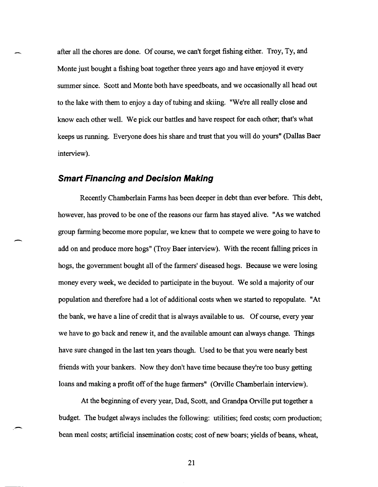after all the chores are done. Of course, we can't forget fishing either. Troy, Ty, and Monte just bought a fishing boat together three years ago and have enjoyed it every summer since. Scott and Monte both have speedboats, and we occasionally all head out to the lake with them to enjoy a day of tubing and skiing. "We're all really close and know each other well. We pick our battles and have respect for each other; that's what keeps us running. Everyone does his share and trust that you will do yours" (Dallas Baer interview).

#### **Smart Financing and Decision Making**

-

-

Recently Chamberlain Farms has been deeper in debt than ever before. This debt, however, has proved to be one of the reasons our farm has stayed alive. "As we watched group farming become more popular, we knew that to compete we were going to have to add on and produce more hogs" (Troy Baer interview). With the recent falling prices in hogs, the government bought all of the farmers' diseased hogs. Because we were losing money every week, we decided to participate in the buyout. We sold a majority of our population and therefore had a lot of additional costs when we started to repopulate. "At the bank, we have a line of credit that is always available to us. Of course, every year we have to go back and renew it, and the available amount can always change. Things have sure changed in the last ten years though. Used to be that you were nearly best friends with your bankers. Now they don't have time because they're too busy getting loans and making a profit off of the huge farmers" (Orville Chamberlain interview).

At the beginning of every year, Dad, Scott, and Grandpa Orville put together a budget. The budget always includes the following: utilities; feed costs; com production; bean meal costs; artificial insemination costs; cost of new boars; yields of beans, wheat,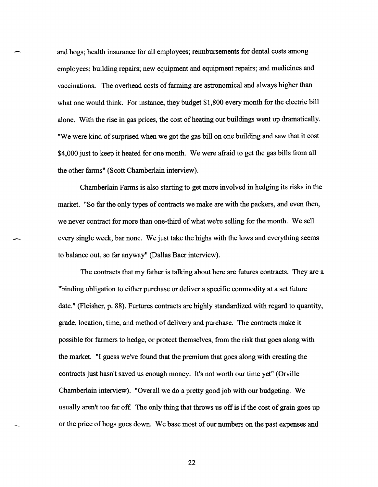and hogs; health insurance for all employees; reimbursements for dental costs among employees; building repairs; new equipment and equipment repairs; and medicines and vaccinations. The overhead costs of farming are astronomical and always higher than what one would think. For instance, they budget \$1,800 every month for the electric bill alone. With the rise in gas prices, the cost of heating our buildings went up dramatically. "We were kind of surprised when we got the gas bill on one building and saw that it cost \$4,000 just to keep it heated for one month. We were afraid to get the gas bills from all the other farms" (Scott Chamberlain interview).

Chamberlain Farms is also starting to get more involved in hedging its risks in the market. "So far the only types of contracts we make are with the packers, and even then, we never contract for more than one-third of what we're selling for the month. We sell every single week, bar none. We just take the highs with the lows and everything seems to balance out, so far anyway" (Dallas Baer interview).

The contracts that my father is talking about here are futures contracts. They are a "binding obligation to either purchase or deliver a specific commodity at a set future date." (Fleisher, p. 88). Furtures contracts are highly standardized with regard to quantity, grade, location, time, and method of delivery and purchase. The contracts make it possible for farmers to hedge, or protect themselves, from the risk that goes along with the market. "I guess we've found that the premium that goes along with creating the contracts just hasn't saved us enough money. It's not worth our time yet" (Orville Chamberlain interview). "Overall we do a pretty good job with our budgeting. We usually aren't too far off. The only thing that throws us off is if the cost of grain goes up or the price of hogs goes down. We base most of our numbers on the past expenses and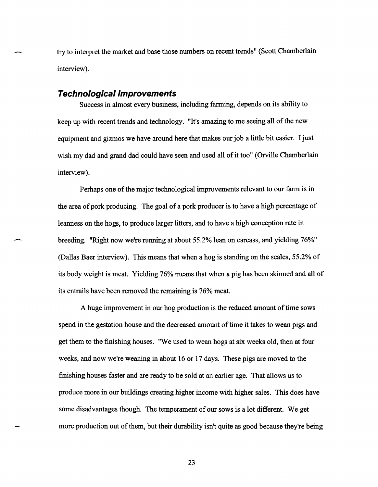try to interpret the market and base those numbers on recent trends" (Scott Chamberlain interview).

#### Technological Improvements

Success in almost every business, including farming, depends on its ability to keep up with recent trends and technology. "It's amazing to me seeing all of the new equipment and gizmos we have around here that makes our job a little bit easier. I just wish my dad and grand dad could have seen and used all of it too" (Orville Chamberlain interview).

Perhaps one of the major technological improvements relevant to our farm is in the area of pork producing. The goal of a pork producer is to have a high percentage of leanness on the hogs, to produce larger litters, and to have a high conception rate in breeding. "Right now we're running at about 55.2% lean on carcass, and yielding 76%" (Dallas Baer interview). This means that when a hog is standing on the scales, 55.2% of its body weight is meat. Yielding 76% means that when a pig has been skinned and all of its entrails have been removed the remaining is 76% meat.

A huge improvement in our hog production is the reduced amount of time sows spend in the gestation house and the decreased amount of time it takes to wean pigs and get them to the finishing houses. "We used to wean hogs at six weeks old, then at four weeks, and now we're weaning in about 16 or 17 days. These pigs are moved to the finishing houses faster and are ready to be sold at an earlier age. That allows us to produce more in our buildings creating higher income with higher sales. This does have some disadvantages though. The temperament of our sows is a lot different. We get more production out of them, but their durability isn't quite as good because they're being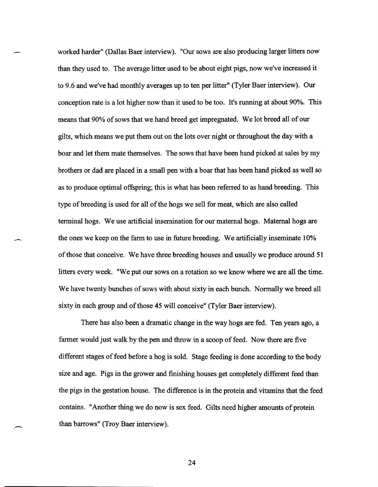worked harder" (Dallas Baer interview). "Our sows are also producing larger litters now than they used to. The average litter used to be about eight pigs, now we've increased it to 9.6 and we've had monthly averages up to ten per litter" (Tyler Baer interview). Our conception rate is a lot higher now than it used to be too. It's running at about 90%. This means that 90% of sows that we hand breed get impregnated. We lot breed all of our gilts, which means we put them out on the lots over night or throughout the day with a boar and let them mate themselves. The sows that have been hand picked at sales by my brothers or dad are placed in a small pen with a boar that has been hand picked as well so as to produce optimal offspring; this is what has been referred to as hand breeding. This type of breeding is used for all of the hogs we sell for meat, which are also called terminal hogs. We use artificial insemination for our maternal hogs. Maternal hogs are the ones we keep on the farm to use in future breeding. We artificially inseminate 10% of those that conceive. We have three breeding houses and usually we produce around 51 litters every week. "We put our sows on a rotation so we know where we are all the time. We have twenty bunches of sows with about sixty in each bunch. Normally we breed all sixty in each group and of those 45 will conceive" (Tyler Baer interview).

There has also been a dramatic change in the way hogs are fed. Ten years ago, a farmer would just walk by the pen and throw in a scoop of feed. Now there are five different stages of feed before a hog is sold. Stage feeding is done according to the body size and age. Pigs in the grower and finishing houses get completely different feed than the pigs in the gestation house. The difference is in the protein and vitamins that the feed contains. "Another thing we do now is sex feed. Gilts need higher amounts of protein than barrows" (Troy Baer interview).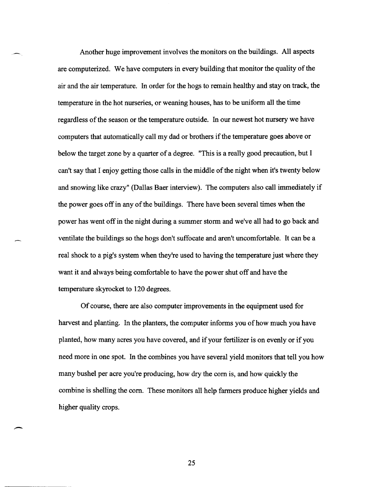Another huge improvement involves the monitors on the buildings. All aspects are computerized. We have computers in every building that monitor the quality of the air and the air temperature. In order for the hogs to remain healthy and stay on track, the temperature in the hot nurseries, or weaning houses, has to be uniform all the time regardless of the season or the temperature outside. In our newest hot nursery we have computers that automatically call my dad or brothers if the temperature goes above or below the target zone by a quarter of a degree. "This is a really good precaution, but I can't say that I enjoy getting those calls in the middle of the night when it's twenty below and snowing like crazy" (Dallas Baer interview). The computers also call immediately if the power goes off in any of the buildings. There have been several times when the power has went off in the night during a summer storm and we've all had to go back and ventilate the buildings so the hogs don't suffocate and aren't uncomfortable. It can be a real shock to a pig's system when they're used to having the temperature just where they want it and always being comfortable to have the power shut off and have the temperature skyrocket to 120 degrees.

Of course, there are also computer improvements in the equipment used for harvest and planting. In the planters, the computer informs you of how much you have planted, how many acres you have covered, and if your fertilizer is on evenly or if you need more in one spot. In the combines you have several yield monitors that tell you how many bushel per acre you're producing, how dry the com is, and how quickly the combine is shelling the com. These monitors all help farmers produce higher yields and higher quality crops.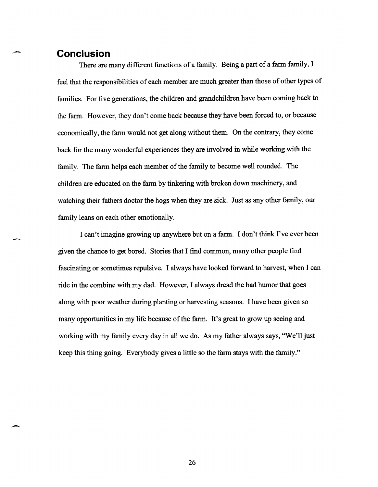### **Conclusion**

,-

-

There are many different functions of a family. Being a part of a farm family, I feel that the responsibilities of each member are much greater than those of other types of families. For five generations, the children and grandchildren have been coming back to the farm. However, they don't come back because they have been forced to, or because economically, the farm would not get along without them. On the contrary, they come back for the many wonderful experiences they are involved in while working with the family. The farm helps each member of the family to become well rounded. The children are educated on the farm by tinkering with broken down machinery, and watching their fathers doctor the hogs when they are sick. Just as any other family, our family leans on each other emotionally.

I can't imagine growing up anywhere but on a farm. I don't think I've ever been given the chance to get bored. Stories that I find common, many other people find fascinating or sometimes repulsive. I always have looked forward to harvest, when I can ride in the combine with my dad. However, I always dread the bad humor that goes along with poor weather during planting or harvesting seasons. I have been given so many opportunities in my life because of the farm. It's great to grow up seeing and working with my family every day in all we do. As my father always says, "We'll just keep this thing going. Everybody gives a little so the farm stays with the family."